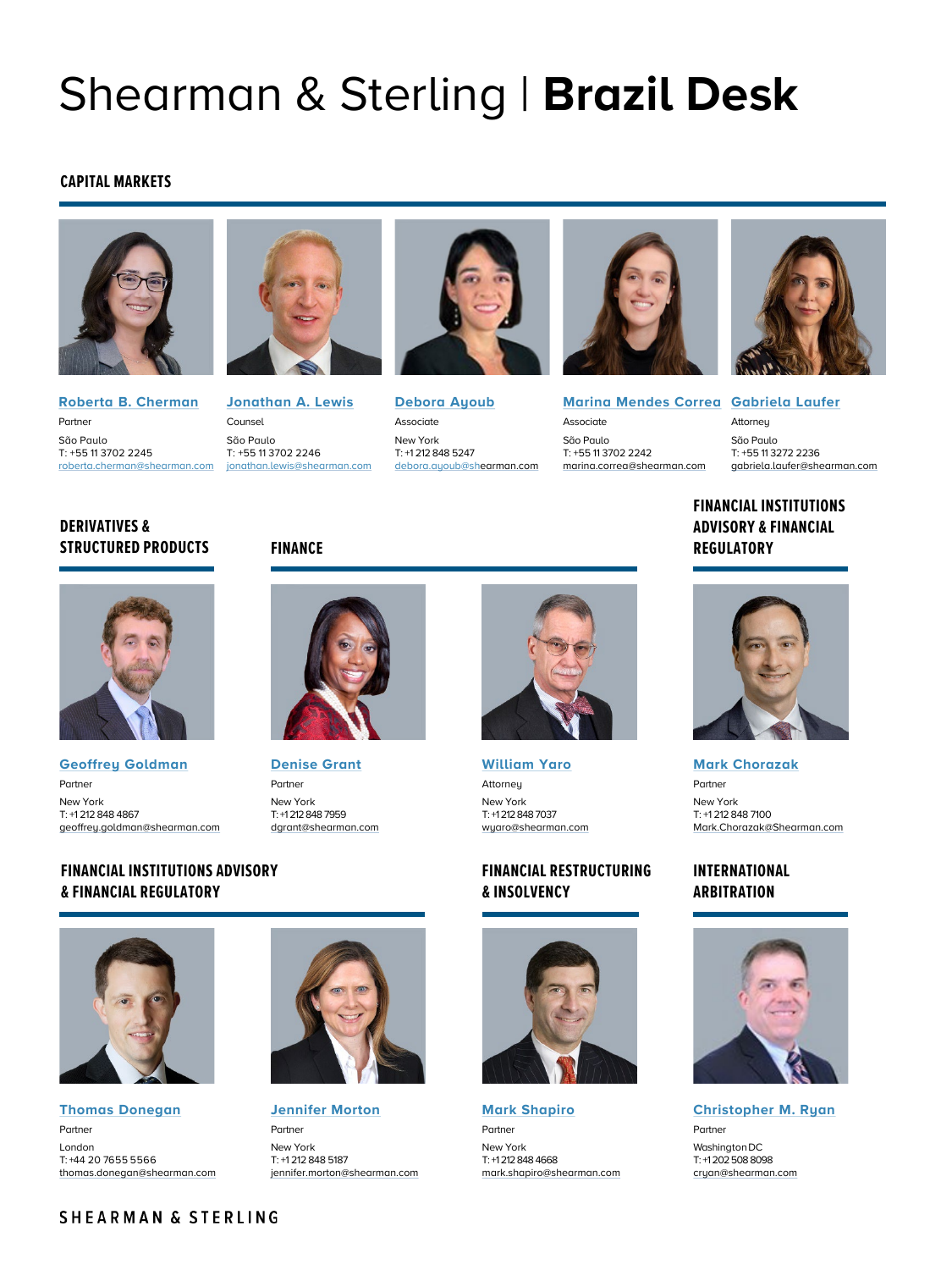# Shearman & Sterling | **Brazil Desk**

### **CAPITAL MARKETS**



**[Roberta B. Cherman](https://www.shearman.com/People/C/Cherman-Roberta-Berliner)** Partner São Paulo T: +55 11 3702 2245



[roberta.cherman@shearman.com](mailto:roberta.cherman@shearman.com) [jonathan.lewis@shearman.com](mailto:jonathan.lewis@shearman.com) **[Jonathan A. Lewis](https://www.shearman.com/people/l/lewis-jonathan-a)** Counsel São Paulo T: +55 11 3702 2246



**[Debora Ayoub](https://www.shearman.com/people/a/ayoub-debora)** Associate New York T: +1 212 848 5247 debora.ayoub[@shearman.com](mailto:debora.ayoub@shearman.com)



**[Marina Mendes Correa](https://www.shearman.com/people/c/correa-marina-mendes) [Gabriela Laufer](https://www.shearman.com/people/l/laufer-gabriela)** Associate São Paulo T: +55 11 3702 2242 [marina.correa@shearman.com](mailto:marina.correa@shearman.com)

Attorney São Paulo T: +55 11 3272 2236 [gabriela.laufer@shearman.com](mailto:gabriela.laufer@shearman.co)

# **FINANCIAL INSTITUTIONS ADVISORY & FINANCIAL FINANCE REGULATORY**



**DERIVATIVES &** 



**[Geoffrey Goldman](https://www.shearman.com/People/G/Goldman-Geoffrey)** Partner New York T: +1 212 848 4867 [geoffrey.goldman@shearman.com](mailto:geoffrey.goldman@shearman.com)

**& FINANCIAL REGULATORY**



**[Denise Grant](https://www.shearman.com/People/G/Grant-Denise-M)** Partner New York T: +1 212 848 7959 [dgrant@shearman.com](mailto:dgrant@shearman.com)

**[William Yaro](https://www.shearman.com/People/Y/Yaro-William) Attorney** New York T: +1 212 848 7037 [wyaro@shearman.com](mailto:wyaro@shearman.com)

## **FINANCIAL RESTRUCTURING & INSOLVENCY**



**[Mark Shapiro](https://www.shearman.com/People/S/Shapiro-Mark-J)** Partner New York T: +1 212 848 4668 [mark.shapiro@shearman.com](mailto:mark.shapiro@shearman.com)



**[Mark Chorazak](https://www.shearman.com/en/people/c/chorazak-mark)** Partner New York T: +1 212 848 7100 [Mark.Chorazak@Shearman.com](mailto:Mark.Chorazak@Shearman.com)

# **INTERNATIONAL ARBITRATION**



**[Christopher M. Ryan](https://www.shearman.com/People/R/Ryan-Christopher-M)** Partner

Washington DC T: +1 202 508 8098 [cryan@shearman.com](mailto:cryan@shearman.com)

# **FINANCIAL INSTITUTIONS ADVISORY**



**[Thomas Donegan](https://www.shearman.com/People/D/Donegan-Thomas)** Partner London T: +44 20 7655 5566 [thomas.donegan@shearman.com](mailto:thomas.donegan@shearman.com)



**[Jennifer Morton](https://www.shearman.com/people/m/morton-jennifer-d)** Partner New York T: +1 212 848 5187 [jennifer.morton@shearman.com](mailto:jennifer.morton@shearman.com)

# SHEARMAN & STERLING